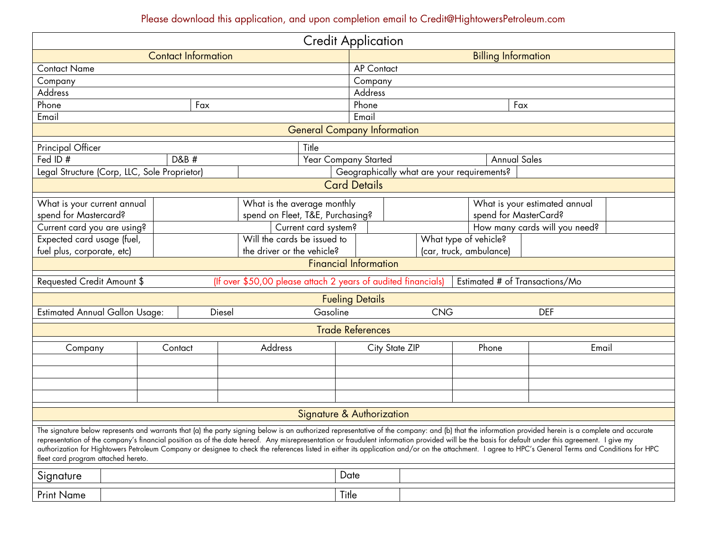# Please download this application, and upon completion email to Credit@HightowersPetroleum.com

| <b>Credit Application</b>                                                                                                                                                                                                                                                                                                                                                                                                                                                                                                                                                                                                                              |                             |                             |                                  |                                            |                               |                         |       |
|--------------------------------------------------------------------------------------------------------------------------------------------------------------------------------------------------------------------------------------------------------------------------------------------------------------------------------------------------------------------------------------------------------------------------------------------------------------------------------------------------------------------------------------------------------------------------------------------------------------------------------------------------------|-----------------------------|-----------------------------|----------------------------------|--------------------------------------------|-------------------------------|-------------------------|-------|
|                                                                                                                                                                                                                                                                                                                                                                                                                                                                                                                                                                                                                                                        | <b>Contact Information</b>  |                             |                                  | <b>Billing Information</b>                 |                               |                         |       |
| Contact Name                                                                                                                                                                                                                                                                                                                                                                                                                                                                                                                                                                                                                                           |                             |                             | <b>AP Contact</b>                |                                            |                               |                         |       |
| Company                                                                                                                                                                                                                                                                                                                                                                                                                                                                                                                                                                                                                                                |                             |                             |                                  | Company                                    |                               |                         |       |
| Address                                                                                                                                                                                                                                                                                                                                                                                                                                                                                                                                                                                                                                                |                             |                             |                                  | Address                                    |                               |                         |       |
| Phone                                                                                                                                                                                                                                                                                                                                                                                                                                                                                                                                                                                                                                                  |                             | Fax                         |                                  | Phone                                      |                               | Fax                     |       |
| Email<br>Email                                                                                                                                                                                                                                                                                                                                                                                                                                                                                                                                                                                                                                         |                             |                             |                                  |                                            |                               |                         |       |
| <b>General Company Information</b>                                                                                                                                                                                                                                                                                                                                                                                                                                                                                                                                                                                                                     |                             |                             |                                  |                                            |                               |                         |       |
| Principal Officer<br>Title                                                                                                                                                                                                                                                                                                                                                                                                                                                                                                                                                                                                                             |                             |                             |                                  |                                            |                               |                         |       |
| Fed ID#                                                                                                                                                                                                                                                                                                                                                                                                                                                                                                                                                                                                                                                | D&B #                       |                             | Year Company Started             |                                            | <b>Annual Sales</b>           |                         |       |
| Legal Structure (Corp, LLC, Sole Proprietor)                                                                                                                                                                                                                                                                                                                                                                                                                                                                                                                                                                                                           |                             |                             |                                  | Geographically what are your requirements? |                               |                         |       |
| <b>Card Details</b>                                                                                                                                                                                                                                                                                                                                                                                                                                                                                                                                                                                                                                    |                             |                             |                                  |                                            |                               |                         |       |
| What is your current annual                                                                                                                                                                                                                                                                                                                                                                                                                                                                                                                                                                                                                            |                             | What is the average monthly |                                  |                                            | What is your estimated annual |                         |       |
| spend for Mastercard?                                                                                                                                                                                                                                                                                                                                                                                                                                                                                                                                                                                                                                  |                             |                             | spend on Fleet, T&E, Purchasing? |                                            | spend for MasterCard?         |                         |       |
|                                                                                                                                                                                                                                                                                                                                                                                                                                                                                                                                                                                                                                                        | Current card you are using? |                             | Current card system?             | How many cards will you need?              |                               |                         |       |
| Expected card usage (fuel,                                                                                                                                                                                                                                                                                                                                                                                                                                                                                                                                                                                                                             |                             | Will the cards be issued to |                                  |                                            | What type of vehicle?         |                         |       |
| the driver or the vehicle?<br>fuel plus, corporate, etc)                                                                                                                                                                                                                                                                                                                                                                                                                                                                                                                                                                                               |                             |                             |                                  |                                            |                               | (car, truck, ambulance) |       |
| <b>Financial Information</b>                                                                                                                                                                                                                                                                                                                                                                                                                                                                                                                                                                                                                           |                             |                             |                                  |                                            |                               |                         |       |
| (If over \$50,00 please attach 2 years of audited financials)<br>Estimated # of Transactions/Mo<br>Requested Credit Amount \$                                                                                                                                                                                                                                                                                                                                                                                                                                                                                                                          |                             |                             |                                  |                                            |                               |                         |       |
| <b>Fueling Details</b>                                                                                                                                                                                                                                                                                                                                                                                                                                                                                                                                                                                                                                 |                             |                             |                                  |                                            |                               |                         |       |
| <b>Estimated Annual Gallon Usage:</b><br>Gasoline<br>Diesel                                                                                                                                                                                                                                                                                                                                                                                                                                                                                                                                                                                            |                             |                             |                                  | <b>CNG</b>                                 |                               | <b>DEF</b>              |       |
| <b>Trade References</b>                                                                                                                                                                                                                                                                                                                                                                                                                                                                                                                                                                                                                                |                             |                             |                                  |                                            |                               |                         |       |
| Company                                                                                                                                                                                                                                                                                                                                                                                                                                                                                                                                                                                                                                                |                             | Contact                     | Address                          | City State ZIP                             |                               | Phone                   | Email |
|                                                                                                                                                                                                                                                                                                                                                                                                                                                                                                                                                                                                                                                        |                             |                             |                                  |                                            |                               |                         |       |
|                                                                                                                                                                                                                                                                                                                                                                                                                                                                                                                                                                                                                                                        |                             |                             |                                  |                                            |                               |                         |       |
|                                                                                                                                                                                                                                                                                                                                                                                                                                                                                                                                                                                                                                                        |                             |                             |                                  |                                            |                               |                         |       |
|                                                                                                                                                                                                                                                                                                                                                                                                                                                                                                                                                                                                                                                        |                             |                             |                                  |                                            |                               |                         |       |
| <b>Signature &amp; Authorization</b>                                                                                                                                                                                                                                                                                                                                                                                                                                                                                                                                                                                                                   |                             |                             |                                  |                                            |                               |                         |       |
| The signature below represents and warrants that (a) the party signing below is an authorized representative of the company: and (b) that the information provided herein is a complete and accurate<br>representation of the company's financial position as of the date hereof. Any misrepresentation or fraudulent information provided will be the basis for default under this agreement. I give my<br>authorization for Hightowers Petroleum Company or designee to check the references listed in either its application and/or on the attachment. I agree to HPC's General Terms and Conditions for HPC<br>fleet card program attached hereto. |                             |                             |                                  |                                            |                               |                         |       |
| Signature                                                                                                                                                                                                                                                                                                                                                                                                                                                                                                                                                                                                                                              |                             |                             |                                  | Date                                       |                               |                         |       |
| <b>Print Name</b>                                                                                                                                                                                                                                                                                                                                                                                                                                                                                                                                                                                                                                      |                             |                             |                                  | Title                                      |                               |                         |       |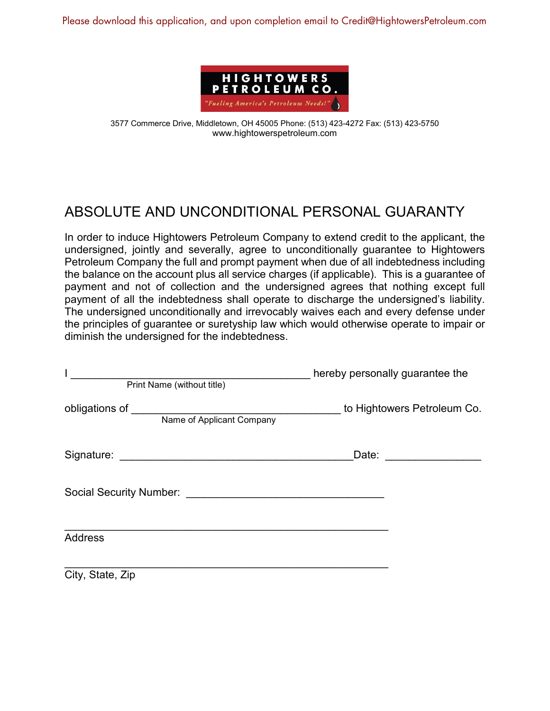Please download this application, and upon completion email to Credit@HightowersPetroleum.com



3577 Commerce Drive, Middletown, OH 45005 Phone: (513) 423-4272 Fax: (513) 423-5750 www.hightowerspetroleum.com

## ABSOLUTE AND UNCONDITIONAL PERSONAL GUARANTY

In order to induce Hightowers Petroleum Company to extend credit to the applicant, the undersigned, jointly and severally, agree to unconditionally guarantee to Hightowers Petroleum Company the full and prompt payment when due of all indebtedness including the balance on the account plus all service charges (if applicable). This is a guarantee of payment and not of collection and the undersigned agrees that nothing except full payment of all the indebtedness shall operate to discharge the undersigned's liability. The undersigned unconditionally and irrevocably waives each and every defense under the principles of guarantee or suretyship law which would otherwise operate to impair or diminish the undersigned for the indebtedness.

| Print Name (without title)                                     | hereby personally guarantee the |
|----------------------------------------------------------------|---------------------------------|
| obligations of __________________<br>Name of Applicant Company | to Hightowers Petroleum Co.     |
|                                                                |                                 |
| Social Security Number:                                        |                                 |
| <b>Address</b>                                                 |                                 |
| City, State, Zip                                               |                                 |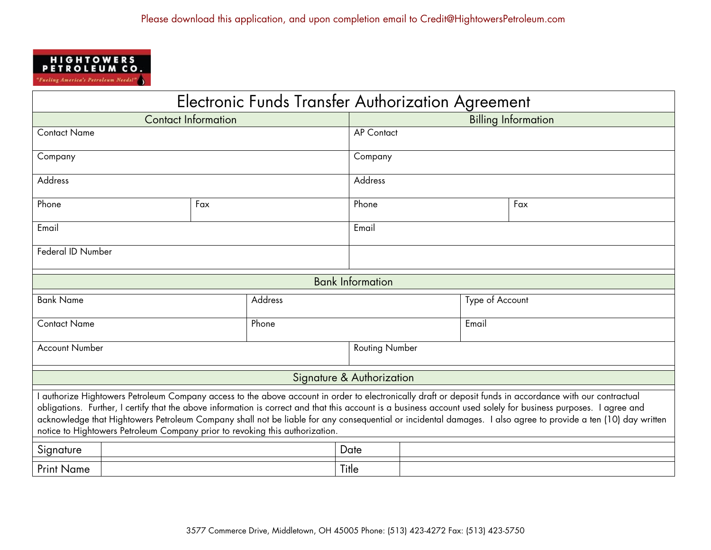

| Electronic Funds Transfer Authorization Agreement                                                                                                                                                                                                                                                                                                                                                                                                                                                                                                                            |     |  |       |                         |                            |  |  |  |
|------------------------------------------------------------------------------------------------------------------------------------------------------------------------------------------------------------------------------------------------------------------------------------------------------------------------------------------------------------------------------------------------------------------------------------------------------------------------------------------------------------------------------------------------------------------------------|-----|--|-------|-------------------------|----------------------------|--|--|--|
| <b>Contact Information</b>                                                                                                                                                                                                                                                                                                                                                                                                                                                                                                                                                   |     |  |       |                         | <b>Billing Information</b> |  |  |  |
| <b>Contact Name</b>                                                                                                                                                                                                                                                                                                                                                                                                                                                                                                                                                          |     |  |       | <b>AP Contact</b>       |                            |  |  |  |
| Company                                                                                                                                                                                                                                                                                                                                                                                                                                                                                                                                                                      |     |  |       | Company                 |                            |  |  |  |
| Address                                                                                                                                                                                                                                                                                                                                                                                                                                                                                                                                                                      |     |  |       | Address                 |                            |  |  |  |
| Phone                                                                                                                                                                                                                                                                                                                                                                                                                                                                                                                                                                        | Fax |  |       | Phone                   | Fax                        |  |  |  |
| $E$ mail                                                                                                                                                                                                                                                                                                                                                                                                                                                                                                                                                                     |     |  | Email |                         |                            |  |  |  |
| Federal ID Number                                                                                                                                                                                                                                                                                                                                                                                                                                                                                                                                                            |     |  |       |                         |                            |  |  |  |
|                                                                                                                                                                                                                                                                                                                                                                                                                                                                                                                                                                              |     |  |       | <b>Bank Information</b> |                            |  |  |  |
| <b>Bank Name</b><br>Address                                                                                                                                                                                                                                                                                                                                                                                                                                                                                                                                                  |     |  |       | Type of Account         |                            |  |  |  |
| Phone<br><b>Contact Name</b>                                                                                                                                                                                                                                                                                                                                                                                                                                                                                                                                                 |     |  |       | Email                   |                            |  |  |  |
| <b>Account Number</b>                                                                                                                                                                                                                                                                                                                                                                                                                                                                                                                                                        |     |  |       | <b>Routing Number</b>   |                            |  |  |  |
| Signature & Authorization                                                                                                                                                                                                                                                                                                                                                                                                                                                                                                                                                    |     |  |       |                         |                            |  |  |  |
| authorize Hightowers Petroleum Company access to the above account in order to electronically draft or deposit funds in accordance with our contractual<br>obligations. Further, I certify that the above information is correct and that this account is a business account used solely for business purposes. I agree and<br>acknowledge that Hightowers Petroleum Company shall not be liable for any consequential or incidental damages. I also agree to provide a ten (10) day written<br>notice to Hightowers Petroleum Company prior to revoking this authorization. |     |  |       |                         |                            |  |  |  |
| Signature                                                                                                                                                                                                                                                                                                                                                                                                                                                                                                                                                                    |     |  | Date  |                         |                            |  |  |  |
| <b>Print Name</b>                                                                                                                                                                                                                                                                                                                                                                                                                                                                                                                                                            |     |  | Title |                         |                            |  |  |  |